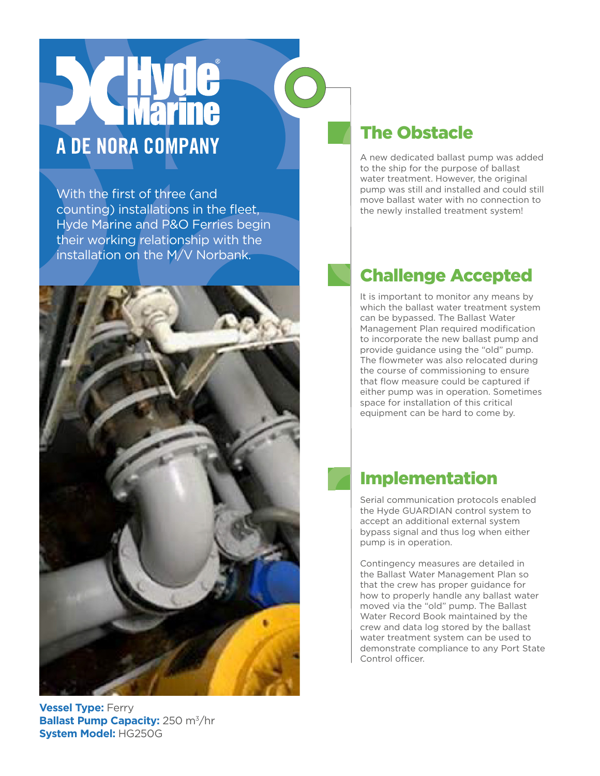# A DE NORA COMPANY

With the first of three (and counting) installations in the fleet, Hyde Marine and P&O Ferries begin their working relationship with the installation on the M/V Norbank.



### **Vessel Type:** Ferry **Ballast Pump Capacity:** 250 m<sup>3</sup>/hr **System Model:** HG250G

## The Obstacle

A new dedicated ballast pump was added to the ship for the purpose of ballast water treatment. However, the original pump was still and installed and could still move ballast water with no connection to the newly installed treatment system!

# Challenge Accepted

It is important to monitor any means by which the ballast water treatment system can be bypassed. The Ballast Water Management Plan required modification to incorporate the new ballast pump and provide guidance using the "old" pump. The flowmeter was also relocated during the course of commissioning to ensure that flow measure could be captured if either pump was in operation. Sometimes space for installation of this critical equipment can be hard to come by.

## Implementation

Serial communication protocols enabled the Hyde GUARDIAN control system to accept an additional external system bypass signal and thus log when either pump is in operation.

Contingency measures are detailed in the Ballast Water Management Plan so that the crew has proper guidance for how to properly handle any ballast water moved via the "old" pump. The Ballast Water Record Book maintained by the crew and data log stored by the ballast water treatment system can be used to demonstrate compliance to any Port State Control officer.